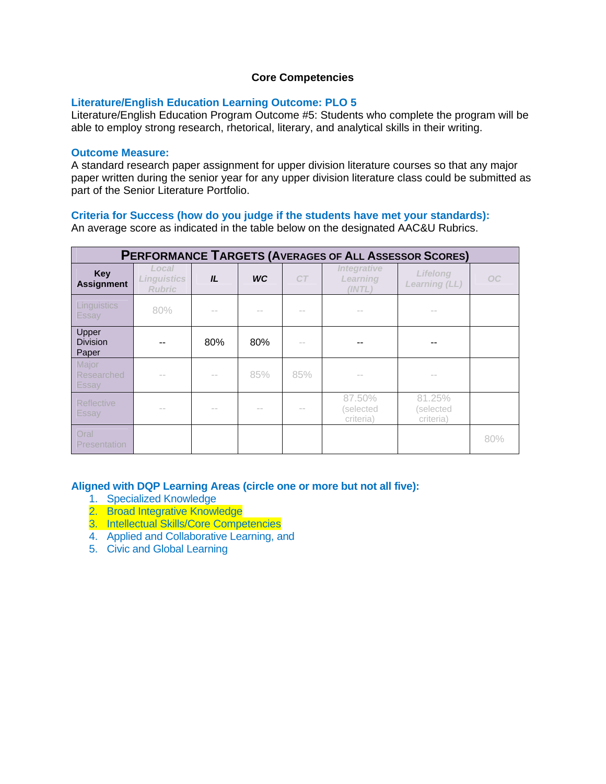#### **Core Competencies**

### **Literature/English Education Learning Outcome: PLO 5**

Literature/English Education Program Outcome #5: Students who complete the program will be able to employ strong research, rhetorical, literary, and analytical skills in their writing.

### **Outcome Measure:**

A standard research paper assignment for upper division literature courses so that any major paper written during the senior year for any upper division literature class could be submitted as part of the Senior Literature Portfolio.

## **Criteria for Success (how do you judge if the students have met your standards):**

An average score as indicated in the table below on the designated AAC&U Rubrics.

| <b>PERFORMANCE TARGETS (AVERAGES OF ALL ASSESSOR SCORES)</b> |                                              |     |           |        |                                                 |                                         |                 |  |  |  |  |  |
|--------------------------------------------------------------|----------------------------------------------|-----|-----------|--------|-------------------------------------------------|-----------------------------------------|-----------------|--|--|--|--|--|
| <b>Key</b><br><b>Assignment</b>                              | Local<br><b>Linguistics</b><br><b>Rubric</b> | IL  | <b>WC</b> | CT     | <i><b>Integrative</b></i><br>Learning<br>(INTL) | <b>Lifelong</b><br><b>Learning (LL)</b> | OC <sub>1</sub> |  |  |  |  |  |
| Linguistics<br>Essay                                         | 80%                                          | $-$ |           | $-$    | $-$                                             | $-$                                     |                 |  |  |  |  |  |
| Upper<br><b>Division</b><br>Paper                            |                                              | 80% | 80%       | $\sim$ | --                                              | --                                      |                 |  |  |  |  |  |
| Major<br>Researched<br>Essay                                 | $-$                                          | $-$ | 85%       | 85%    | $-$                                             | $\sim$                                  |                 |  |  |  |  |  |
| <b>Reflective</b><br>Essay                                   | $\sim$                                       | $-$ | $-$       | $\sim$ | 87.50%<br>selected)<br>criteria)                | 81.25%<br>(selected<br>criteria)        |                 |  |  |  |  |  |
| Oral<br><b>Presentation</b>                                  |                                              |     |           |        |                                                 |                                         | 80%             |  |  |  |  |  |

#### **Aligned with DQP Learning Areas (circle one or more but not all five):**

- 1. Specialized Knowledge
- 2. Broad Integrative Knowledge
- 3. Intellectual Skills/Core Competencies
- 4. Applied and Collaborative Learning, and
- 5. Civic and Global Learning